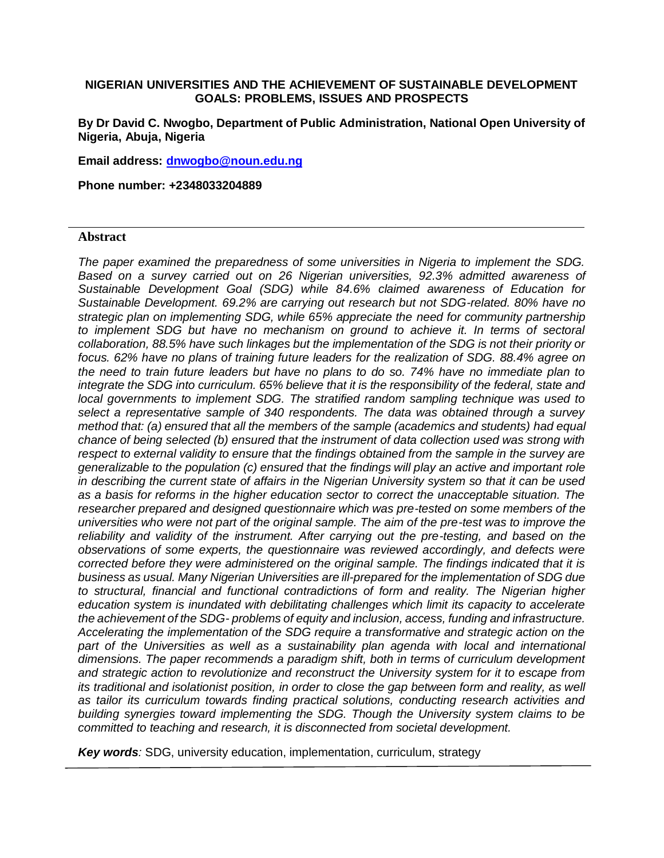#### **NIGERIAN UNIVERSITIES AND THE ACHIEVEMENT OF SUSTAINABLE DEVELOPMENT GOALS: PROBLEMS, ISSUES AND PROSPECTS**

**By Dr David C. Nwogbo, Department of Public Administration, National Open University of Nigeria, Abuja, Nigeria**

**Email address: [dnwogbo@noun.edu.ng](mailto:dnwogbo@noun.edu.ng)**

**Phone number: +2348033204889**

#### **Abstract**

*The paper examined the preparedness of some universities in Nigeria to implement the SDG. Based on a survey carried out on 26 Nigerian universities, 92.3% admitted awareness of Sustainable Development Goal (SDG) while 84.6% claimed awareness of Education for Sustainable Development. 69.2% are carrying out research but not SDG-related. 80% have no strategic plan on implementing SDG, while 65% appreciate the need for community partnership*  to implement SDG but have no mechanism on ground to achieve it. In terms of sectoral *collaboration, 88.5% have such linkages but the implementation of the SDG is not their priority or focus. 62% have no plans of training future leaders for the realization of SDG. 88.4% agree on the need to train future leaders but have no plans to do so. 74% have no immediate plan to integrate the SDG into curriculum. 65% believe that it is the responsibility of the federal, state and local governments to implement SDG. The stratified random sampling technique was used to select a representative sample of 340 respondents. The data was obtained through a survey method that: (a) ensured that all the members of the sample (academics and students) had equal chance of being selected (b) ensured that the instrument of data collection used was strong with respect to external validity to ensure that the findings obtained from the sample in the survey are generalizable to the population (c) ensured that the findings will play an active and important role in describing the current state of affairs in the Nigerian University system so that it can be used as a basis for reforms in the higher education sector to correct the unacceptable situation. The researcher prepared and designed questionnaire which was pre-tested on some members of the universities who were not part of the original sample. The aim of the pre-test was to improve the*  reliability and validity of the instrument. After carrying out the pre-testing, and based on the *observations of some experts, the questionnaire was reviewed accordingly, and defects were corrected before they were administered on the original sample. The findings indicated that it is business as usual. Many Nigerian Universities are ill-prepared for the implementation of SDG due to structural, financial and functional contradictions of form and reality. The Nigerian higher education system is inundated with debilitating challenges which limit its capacity to accelerate the achievement of the SDG- problems of equity and inclusion, access, funding and infrastructure. Accelerating the implementation of the SDG require a transformative and strategic action on the*  part of the Universities as well as a sustainability plan agenda with local and international *dimensions. The paper recommends a paradigm shift, both in terms of curriculum development and strategic action to revolutionize and reconstruct the University system for it to escape from its traditional and isolationist position, in order to close the gap between form and reality, as well as tailor its curriculum towards finding practical solutions, conducting research activities and building synergies toward implementing the SDG. Though the University system claims to be committed to teaching and research, it is disconnected from societal development.* 

*Key words:* SDG, university education, implementation, curriculum, strategy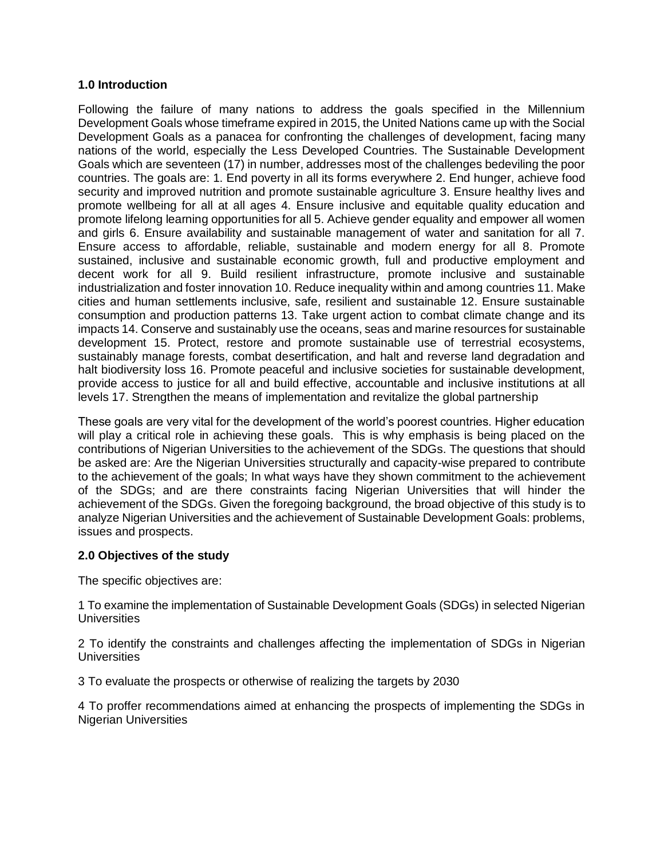#### **1.0 Introduction**

Following the failure of many nations to address the goals specified in the Millennium Development Goals whose timeframe expired in 2015, the United Nations came up with the Social Development Goals as a panacea for confronting the challenges of development, facing many nations of the world, especially the Less Developed Countries. The Sustainable Development Goals which are seventeen (17) in number, addresses most of the challenges bedeviling the poor countries. The goals are: 1. End poverty in all its forms everywhere 2. End hunger, achieve food security and improved nutrition and promote sustainable agriculture 3. Ensure healthy lives and promote wellbeing for all at all ages 4. Ensure inclusive and equitable quality education and promote lifelong learning opportunities for all 5. Achieve gender equality and empower all women and girls 6. Ensure availability and sustainable management of water and sanitation for all 7. Ensure access to affordable, reliable, sustainable and modern energy for all 8. Promote sustained, inclusive and sustainable economic growth, full and productive employment and decent work for all 9. Build resilient infrastructure, promote inclusive and sustainable industrialization and foster innovation 10. Reduce inequality within and among countries 11. Make cities and human settlements inclusive, safe, resilient and sustainable 12. Ensure sustainable consumption and production patterns 13. Take urgent action to combat climate change and its impacts 14. Conserve and sustainably use the oceans, seas and marine resources for sustainable development 15. Protect, restore and promote sustainable use of terrestrial ecosystems, sustainably manage forests, combat desertification, and halt and reverse land degradation and halt biodiversity loss 16. Promote peaceful and inclusive societies for sustainable development, provide access to justice for all and build effective, accountable and inclusive institutions at all levels 17. Strengthen the means of implementation and revitalize the global partnership

These goals are very vital for the development of the world's poorest countries. Higher education will play a critical role in achieving these goals. This is why emphasis is being placed on the contributions of Nigerian Universities to the achievement of the SDGs. The questions that should be asked are: Are the Nigerian Universities structurally and capacity-wise prepared to contribute to the achievement of the goals; In what ways have they shown commitment to the achievement of the SDGs; and are there constraints facing Nigerian Universities that will hinder the achievement of the SDGs. Given the foregoing background, the broad objective of this study is to analyze Nigerian Universities and the achievement of Sustainable Development Goals: problems, issues and prospects.

## **2.0 Objectives of the study**

The specific objectives are:

1 To examine the implementation of Sustainable Development Goals (SDGs) in selected Nigerian **Universities** 

2 To identify the constraints and challenges affecting the implementation of SDGs in Nigerian **Universities** 

3 To evaluate the prospects or otherwise of realizing the targets by 2030

4 To proffer recommendations aimed at enhancing the prospects of implementing the SDGs in Nigerian Universities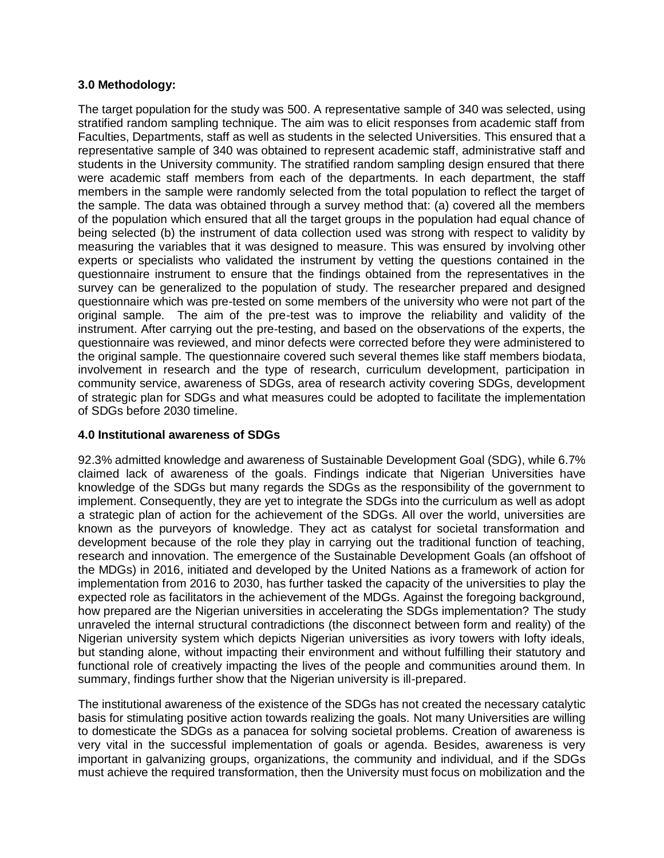#### **3.0 Methodology:**

The target population for the study was 500. A representative sample of 340 was selected, using stratified random sampling technique. The aim was to elicit responses from academic staff from Faculties, Departments, staff as well as students in the selected Universities. This ensured that a representative sample of 340 was obtained to represent academic staff, administrative staff and students in the University community. The stratified random sampling design ensured that there were academic staff members from each of the departments. In each department, the staff members in the sample were randomly selected from the total population to reflect the target of the sample. The data was obtained through a survey method that: (a) covered all the members of the population which ensured that all the target groups in the population had equal chance of being selected (b) the instrument of data collection used was strong with respect to validity by measuring the variables that it was designed to measure. This was ensured by involving other experts or specialists who validated the instrument by vetting the questions contained in the questionnaire instrument to ensure that the findings obtained from the representatives in the survey can be generalized to the population of study. The researcher prepared and designed questionnaire which was pre-tested on some members of the university who were not part of the original sample. The aim of the pre-test was to improve the reliability and validity of the instrument. After carrying out the pre-testing, and based on the observations of the experts, the questionnaire was reviewed, and minor defects were corrected before they were administered to the original sample. The questionnaire covered such several themes like staff members biodata, involvement in research and the type of research, curriculum development, participation in community service, awareness of SDGs, area of research activity covering SDGs, development of strategic plan for SDGs and what measures could be adopted to facilitate the implementation of SDGs before 2030 timeline.

## **4.0 Institutional awareness of SDGs**

92.3% admitted knowledge and awareness of Sustainable Development Goal (SDG), while 6.7% claimed lack of awareness of the goals. Findings indicate that Nigerian Universities have knowledge of the SDGs but many regards the SDGs as the responsibility of the government to implement. Consequently, they are yet to integrate the SDGs into the curriculum as well as adopt a strategic plan of action for the achievement of the SDGs. All over the world, universities are known as the purveyors of knowledge. They act as catalyst for societal transformation and development because of the role they play in carrying out the traditional function of teaching, research and innovation. The emergence of the Sustainable Development Goals (an offshoot of the MDGs) in 2016, initiated and developed by the United Nations as a framework of action for implementation from 2016 to 2030, has further tasked the capacity of the universities to play the expected role as facilitators in the achievement of the MDGs. Against the foregoing background, how prepared are the Nigerian universities in accelerating the SDGs implementation? The study unraveled the internal structural contradictions (the disconnect between form and reality) of the Nigerian university system which depicts Nigerian universities as ivory towers with lofty ideals, but standing alone, without impacting their environment and without fulfilling their statutory and functional role of creatively impacting the lives of the people and communities around them. In summary, findings further show that the Nigerian university is ill-prepared.

The institutional awareness of the existence of the SDGs has not created the necessary catalytic basis for stimulating positive action towards realizing the goals. Not many Universities are willing to domesticate the SDGs as a panacea for solving societal problems. Creation of awareness is very vital in the successful implementation of goals or agenda. Besides, awareness is very important in galvanizing groups, organizations, the community and individual, and if the SDGs must achieve the required transformation, then the University must focus on mobilization and the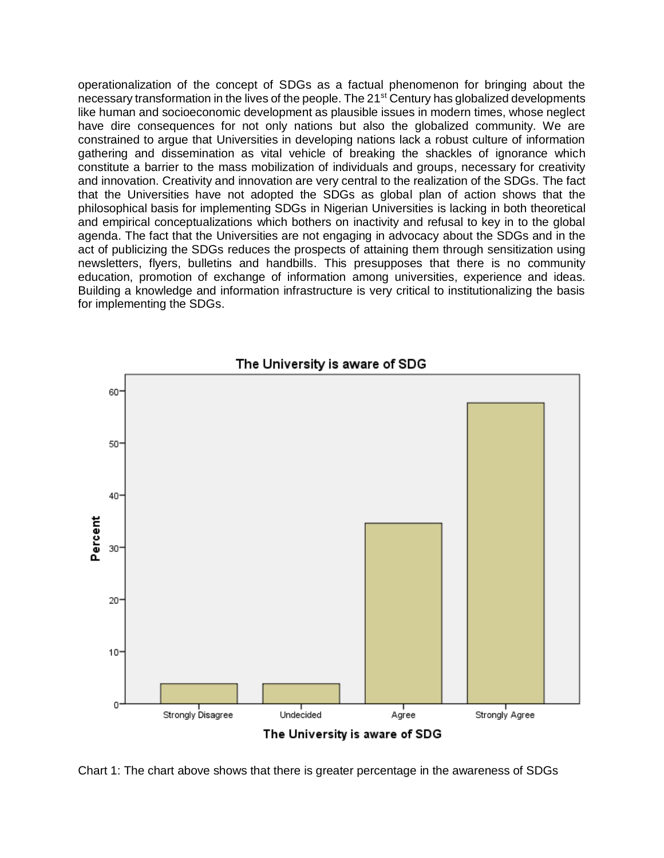operationalization of the concept of SDGs as a factual phenomenon for bringing about the necessary transformation in the lives of the people. The 21<sup>st</sup> Century has globalized developments like human and socioeconomic development as plausible issues in modern times, whose neglect have dire consequences for not only nations but also the globalized community. We are constrained to argue that Universities in developing nations lack a robust culture of information gathering and dissemination as vital vehicle of breaking the shackles of ignorance which constitute a barrier to the mass mobilization of individuals and groups, necessary for creativity and innovation. Creativity and innovation are very central to the realization of the SDGs. The fact that the Universities have not adopted the SDGs as global plan of action shows that the philosophical basis for implementing SDGs in Nigerian Universities is lacking in both theoretical and empirical conceptualizations which bothers on inactivity and refusal to key in to the global agenda. The fact that the Universities are not engaging in advocacy about the SDGs and in the act of publicizing the SDGs reduces the prospects of attaining them through sensitization using newsletters, flyers, bulletins and handbills. This presupposes that there is no community education, promotion of exchange of information among universities, experience and ideas. Building a knowledge and information infrastructure is very critical to institutionalizing the basis for implementing the SDGs.



Chart 1: The chart above shows that there is greater percentage in the awareness of SDGs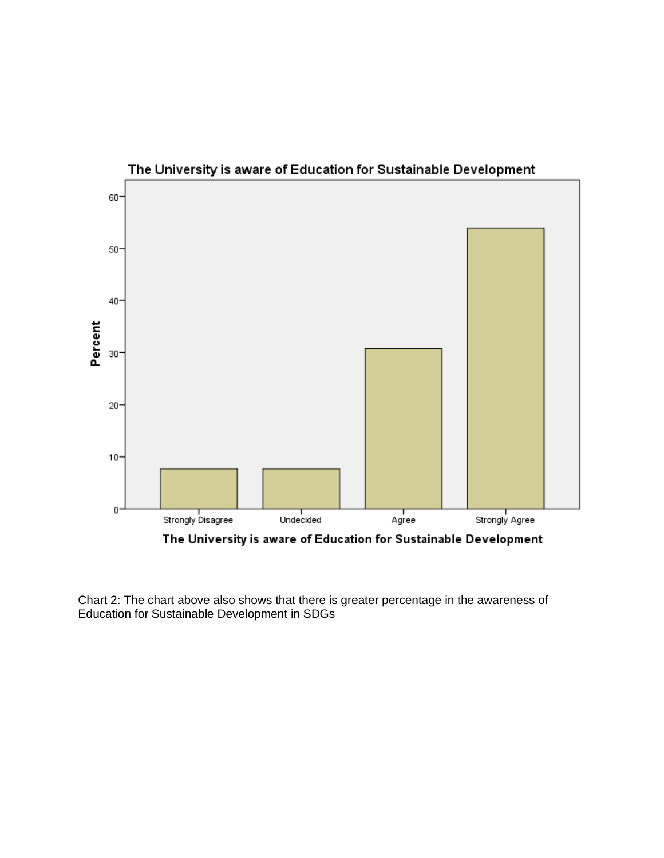

The University is aware of Education for Sustainable Development

Chart 2: The chart above also shows that there is greater percentage in the awareness of Education for Sustainable Development in SDGs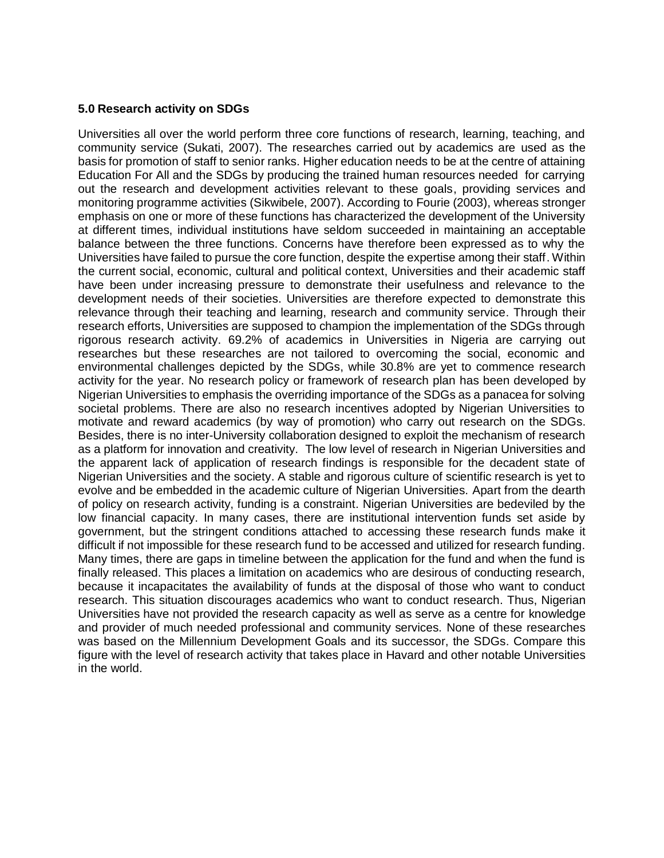#### **5.0 Research activity on SDGs**

Universities all over the world perform three core functions of research, learning, teaching, and community service (Sukati, 2007). The researches carried out by academics are used as the basis for promotion of staff to senior ranks. Higher education needs to be at the centre of attaining Education For All and the SDGs by producing the trained human resources needed for carrying out the research and development activities relevant to these goals, providing services and monitoring programme activities (Sikwibele, 2007). According to Fourie (2003), whereas stronger emphasis on one or more of these functions has characterized the development of the University at different times, individual institutions have seldom succeeded in maintaining an acceptable balance between the three functions. Concerns have therefore been expressed as to why the Universities have failed to pursue the core function, despite the expertise among their staff. Within the current social, economic, cultural and political context, Universities and their academic staff have been under increasing pressure to demonstrate their usefulness and relevance to the development needs of their societies. Universities are therefore expected to demonstrate this relevance through their teaching and learning, research and community service. Through their research efforts, Universities are supposed to champion the implementation of the SDGs through rigorous research activity. 69.2% of academics in Universities in Nigeria are carrying out researches but these researches are not tailored to overcoming the social, economic and environmental challenges depicted by the SDGs, while 30.8% are yet to commence research activity for the year. No research policy or framework of research plan has been developed by Nigerian Universities to emphasis the overriding importance of the SDGs as a panacea for solving societal problems. There are also no research incentives adopted by Nigerian Universities to motivate and reward academics (by way of promotion) who carry out research on the SDGs. Besides, there is no inter-University collaboration designed to exploit the mechanism of research as a platform for innovation and creativity. The low level of research in Nigerian Universities and the apparent lack of application of research findings is responsible for the decadent state of Nigerian Universities and the society. A stable and rigorous culture of scientific research is yet to evolve and be embedded in the academic culture of Nigerian Universities. Apart from the dearth of policy on research activity, funding is a constraint. Nigerian Universities are bedeviled by the low financial capacity. In many cases, there are institutional intervention funds set aside by government, but the stringent conditions attached to accessing these research funds make it difficult if not impossible for these research fund to be accessed and utilized for research funding. Many times, there are gaps in timeline between the application for the fund and when the fund is finally released. This places a limitation on academics who are desirous of conducting research, because it incapacitates the availability of funds at the disposal of those who want to conduct research. This situation discourages academics who want to conduct research. Thus, Nigerian Universities have not provided the research capacity as well as serve as a centre for knowledge and provider of much needed professional and community services. None of these researches was based on the Millennium Development Goals and its successor, the SDGs. Compare this figure with the level of research activity that takes place in Havard and other notable Universities in the world.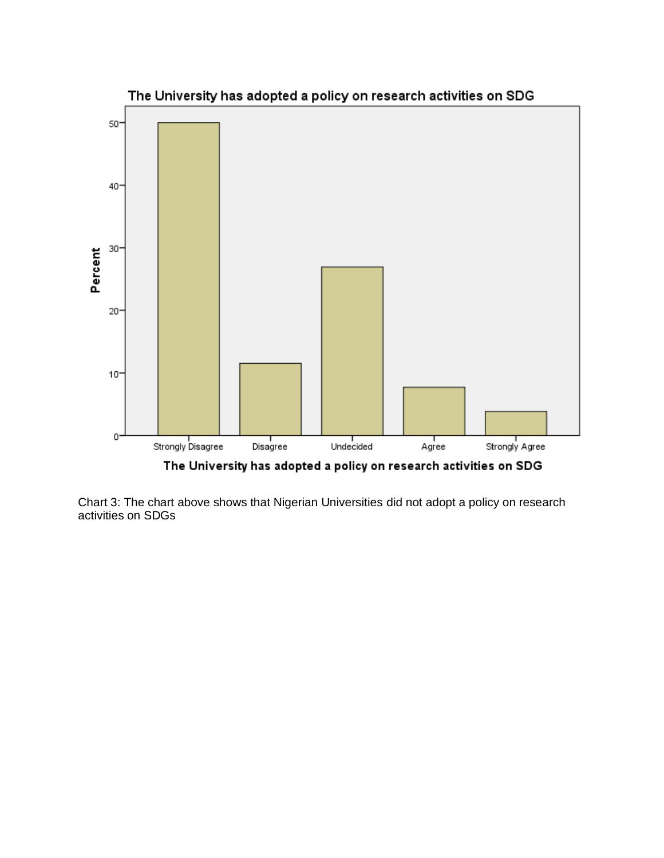

Chart 3: The chart above shows that Nigerian Universities did not adopt a policy on research activities on SDGs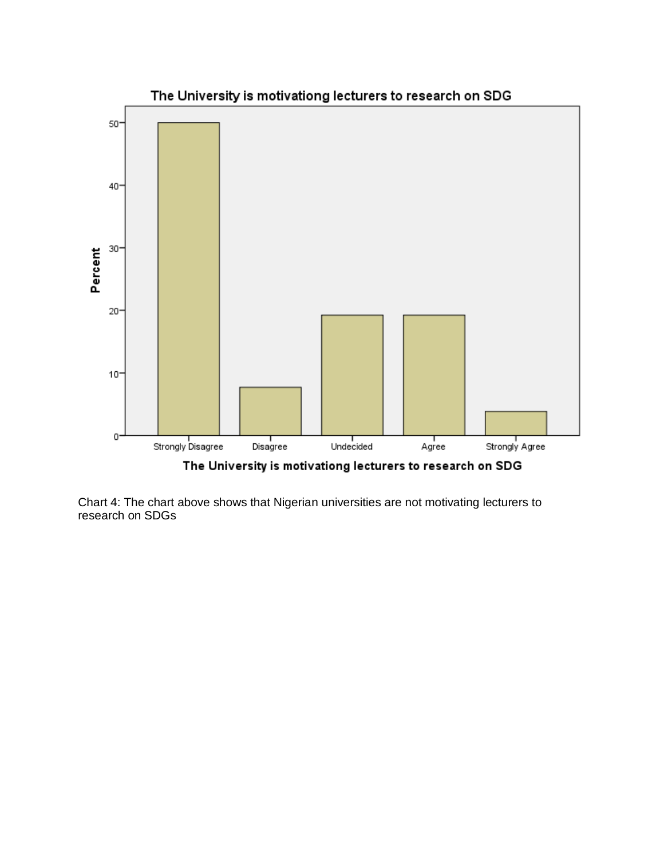

Chart 4: The chart above shows that Nigerian universities are not motivating lecturers to research on SDGs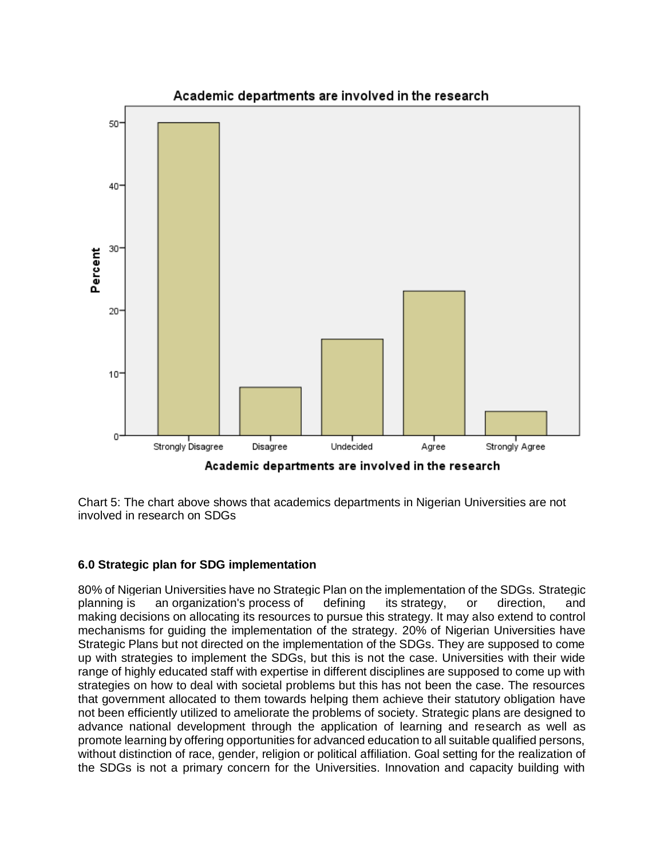

Chart 5: The chart above shows that academics departments in Nigerian Universities are not involved in research on SDGs

## **6.0 Strategic plan for SDG implementation**

80% of Nigerian Universities have no Strategic Plan on the implementation of the SDGs. Strategic planning is an [organization's](https://en.wikipedia.org/wiki/Organization) [process](https://en.wikipedia.org/wiki/Business_process) of defining its [strategy,](https://en.wikipedia.org/wiki/Strategy) or direction, and making [decisions](https://en.wikipedia.org/wiki/Decision_making) on allocating its resources to pursue this strategy. It may also extend to control mechanisms for guiding the implementation of the strategy. 20% of Nigerian Universities have Strategic Plans but not directed on the implementation of the SDGs. They are supposed to come up with strategies to implement the SDGs, but this is not the case. Universities with their wide range of highly educated staff with expertise in different disciplines are supposed to come up with strategies on how to deal with societal problems but this has not been the case. The resources that government allocated to them towards helping them achieve their statutory obligation have not been efficiently utilized to ameliorate the problems of society. Strategic plans are designed to advance national development through the application of learning and research as well as promote learning by offering opportunities for advanced education to all suitable qualified persons, without distinction of race, gender, religion or political affiliation. Goal setting for the realization of the SDGs is not a primary concern for the Universities. Innovation and capacity building with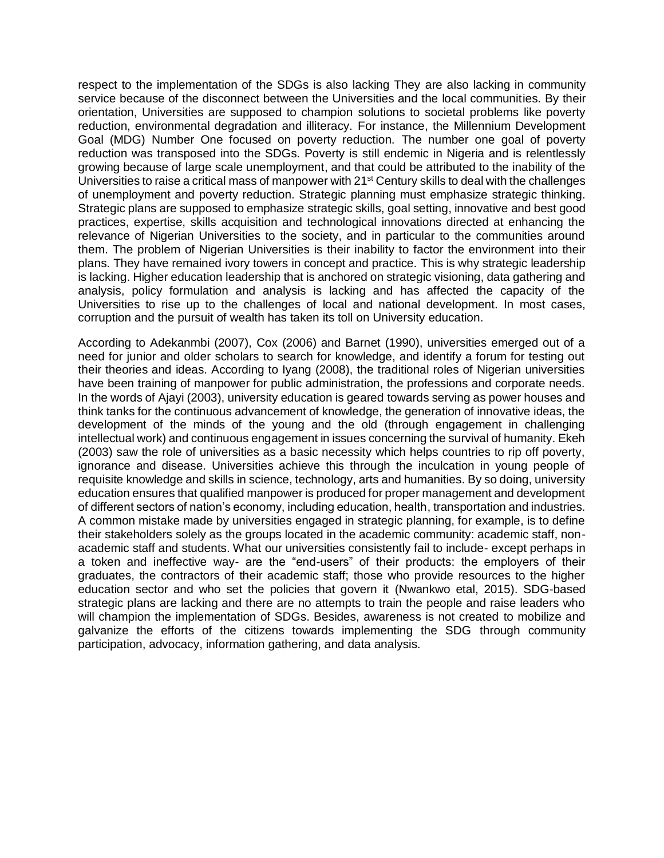respect to the implementation of the SDGs is also lacking They are also lacking in community service because of the disconnect between the Universities and the local communities. By their orientation, Universities are supposed to champion solutions to societal problems like poverty reduction, environmental degradation and illiteracy. For instance, the Millennium Development Goal (MDG) Number One focused on poverty reduction. The number one goal of poverty reduction was transposed into the SDGs. Poverty is still endemic in Nigeria and is relentlessly growing because of large scale unemployment, and that could be attributed to the inability of the Universities to raise a critical mass of manpower with  $21<sup>st</sup>$  Century skills to deal with the challenges of unemployment and poverty reduction. Strategic planning must emphasize strategic thinking. Strategic plans are supposed to emphasize strategic skills, goal setting, innovative and best good practices, expertise, skills acquisition and technological innovations directed at enhancing the relevance of Nigerian Universities to the society, and in particular to the communities around them. The problem of Nigerian Universities is their inability to factor the environment into their plans. They have remained ivory towers in concept and practice. This is why strategic leadership is lacking. Higher education leadership that is anchored on strategic visioning, data gathering and analysis, policy formulation and analysis is lacking and has affected the capacity of the Universities to rise up to the challenges of local and national development. In most cases, corruption and the pursuit of wealth has taken its toll on University education.

According to Adekanmbi (2007), Cox (2006) and Barnet (1990), universities emerged out of a need for junior and older scholars to search for knowledge, and identify a forum for testing out their theories and ideas. According to Iyang (2008), the traditional roles of Nigerian universities have been training of manpower for public administration, the professions and corporate needs. In the words of Ajayi (2003), university education is geared towards serving as power houses and think tanks for the continuous advancement of knowledge, the generation of innovative ideas, the development of the minds of the young and the old (through engagement in challenging intellectual work) and continuous engagement in issues concerning the survival of humanity. Ekeh (2003) saw the role of universities as a basic necessity which helps countries to rip off poverty, ignorance and disease. Universities achieve this through the inculcation in young people of requisite knowledge and skills in science, technology, arts and humanities. By so doing, university education ensures that qualified manpower is produced for proper management and development of different sectors of nation's economy, including education, health, transportation and industries. A common mistake made by universities engaged in strategic planning, for example, is to define their stakeholders solely as the groups located in the academic community: academic staff, nonacademic staff and students. What our universities consistently fail to include- except perhaps in a token and ineffective way- are the "end-users" of their products: the employers of their graduates, the contractors of their academic staff; those who provide resources to the higher education sector and who set the policies that govern it (Nwankwo etal, 2015). SDG-based strategic plans are lacking and there are no attempts to train the people and raise leaders who will champion the implementation of SDGs. Besides, awareness is not created to mobilize and galvanize the efforts of the citizens towards implementing the SDG through community participation, advocacy, information gathering, and data analysis.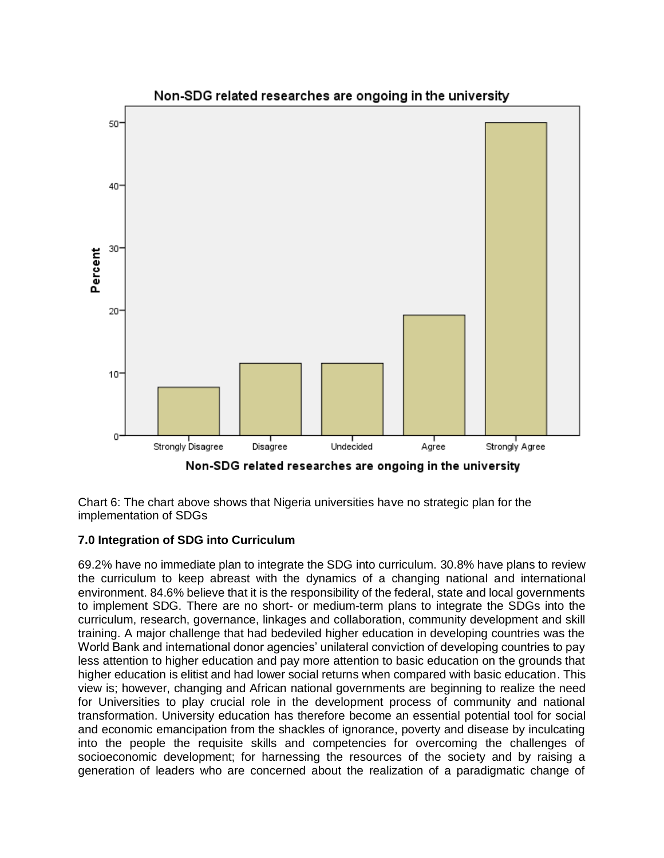

Non-SDG related researches are ongoing in the university

Chart 6: The chart above shows that Nigeria universities have no strategic plan for the implementation of SDGs

## **7.0 Integration of SDG into Curriculum**

69.2% have no immediate plan to integrate the SDG into curriculum. 30.8% have plans to review the curriculum to keep abreast with the dynamics of a changing national and international environment. 84.6% believe that it is the responsibility of the federal, state and local governments to implement SDG. There are no short- or medium-term plans to integrate the SDGs into the curriculum, research, governance, linkages and collaboration, community development and skill training. A major challenge that had bedeviled higher education in developing countries was the World Bank and international donor agencies' unilateral conviction of developing countries to pay less attention to higher education and pay more attention to basic education on the grounds that higher education is elitist and had lower social returns when compared with basic education. This view is; however, changing and African national governments are beginning to realize the need for Universities to play crucial role in the development process of community and national transformation. University education has therefore become an essential potential tool for social and economic emancipation from the shackles of ignorance, poverty and disease by inculcating into the people the requisite skills and competencies for overcoming the challenges of socioeconomic development; for harnessing the resources of the society and by raising a generation of leaders who are concerned about the realization of a paradigmatic change of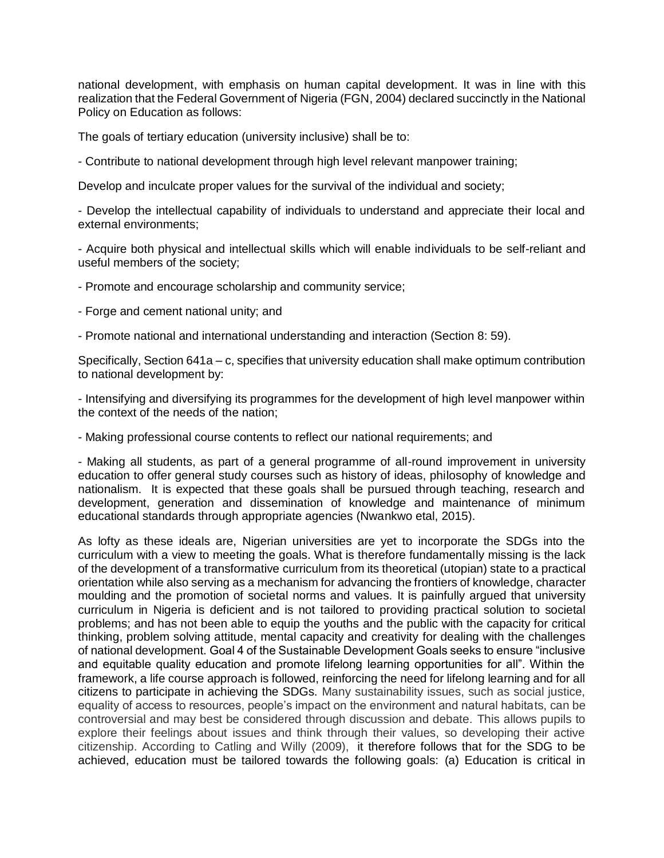national development, with emphasis on human capital development. It was in line with this realization that the Federal Government of Nigeria (FGN, 2004) declared succinctly in the National Policy on Education as follows:

The goals of tertiary education (university inclusive) shall be to:

- Contribute to national development through high level relevant manpower training;

Develop and inculcate proper values for the survival of the individual and society;

- Develop the intellectual capability of individuals to understand and appreciate their local and external environments;

- Acquire both physical and intellectual skills which will enable individuals to be self-reliant and useful members of the society;

- Promote and encourage scholarship and community service;

- Forge and cement national unity; and
- Promote national and international understanding and interaction (Section 8: 59).

Specifically, Section 641a – c, specifies that university education shall make optimum contribution to national development by:

- Intensifying and diversifying its programmes for the development of high level manpower within the context of the needs of the nation;

- Making professional course contents to reflect our national requirements; and

- Making all students, as part of a general programme of all-round improvement in university education to offer general study courses such as history of ideas, philosophy of knowledge and nationalism. It is expected that these goals shall be pursued through teaching, research and development, generation and dissemination of knowledge and maintenance of minimum educational standards through appropriate agencies (Nwankwo etal, 2015).

As lofty as these ideals are, Nigerian universities are yet to incorporate the SDGs into the curriculum with a view to meeting the goals. What is therefore fundamentally missing is the lack of the development of a transformative curriculum from its theoretical (utopian) state to a practical orientation while also serving as a mechanism for advancing the frontiers of knowledge, character moulding and the promotion of societal norms and values. It is painfully argued that university curriculum in Nigeria is deficient and is not tailored to providing practical solution to societal problems; and has not been able to equip the youths and the public with the capacity for critical thinking, problem solving attitude, mental capacity and creativity for dealing with the challenges of national development. Goal 4 of the Sustainable Development Goals seeks to ensure "inclusive and equitable quality education and promote lifelong learning opportunities for all". Within the framework, a life course approach is followed, reinforcing the need for lifelong learning and for all citizens to participate in achieving the SDGs. Many sustainability issues, such as social justice, equality of access to resources, people's impact on the environment and natural habitats, can be controversial and may best be considered through discussion and debate. This allows pupils to explore their feelings about issues and think through their values, so developing their active citizenship. According to Catling and Willy (2009), it therefore follows that for the SDG to be achieved, education must be tailored towards the following goals: (a) Education is critical in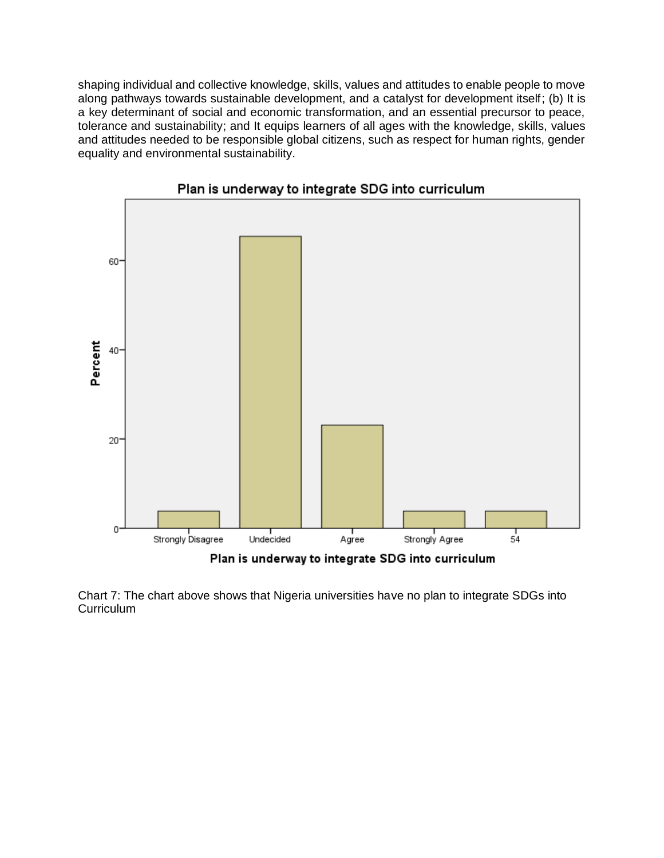shaping individual and collective knowledge, skills, values and attitudes to enable people to move along pathways towards sustainable development, and a catalyst for development itself; (b) It is a key determinant of social and economic transformation, and an essential precursor to peace, tolerance and sustainability; and It equips learners of all ages with the knowledge, skills, values and attitudes needed to be responsible global citizens, such as respect for human rights, gender equality and environmental sustainability.



Plan is underway to integrate SDG into curriculum

Chart 7: The chart above shows that Nigeria universities have no plan to integrate SDGs into **Curriculum**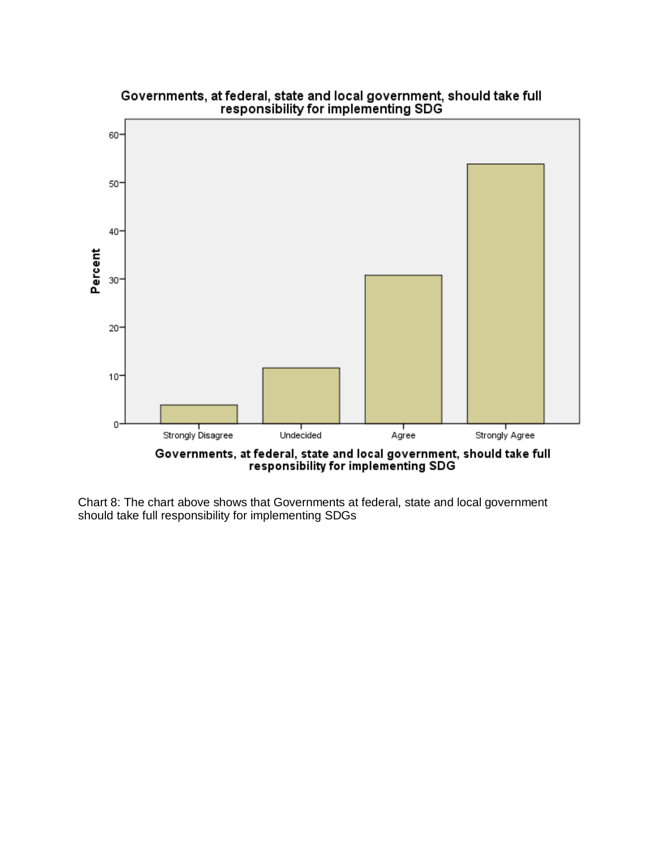

Chart 8: The chart above shows that Governments at federal, state and local government should take full responsibility for implementing SDGs

# Governments, at federal, state and local government, should take full<br>responsibility for implementing SDG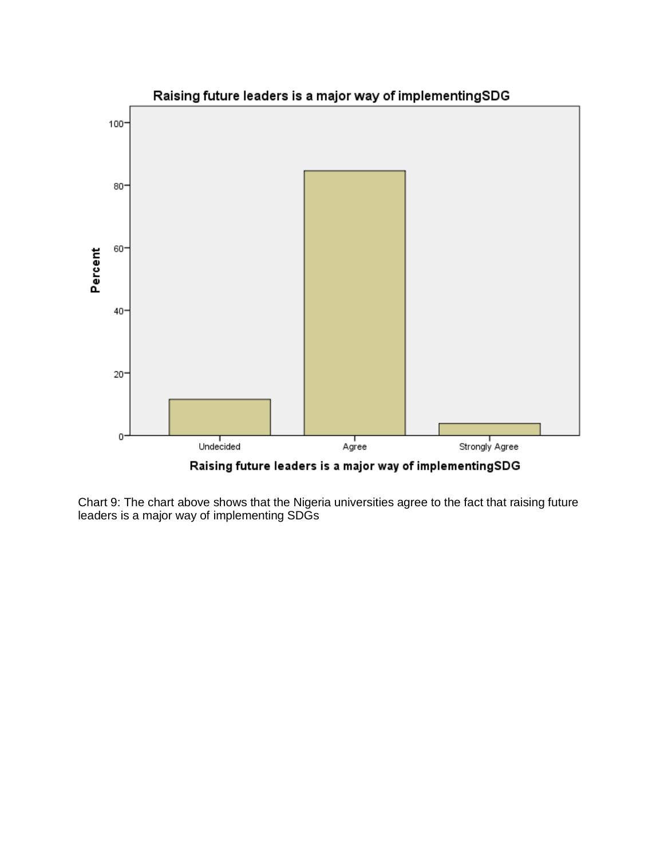

Raising future leaders is a major way of implementingSDG

Chart 9: The chart above shows that the Nigeria universities agree to the fact that raising future leaders is a major way of implementing SDGs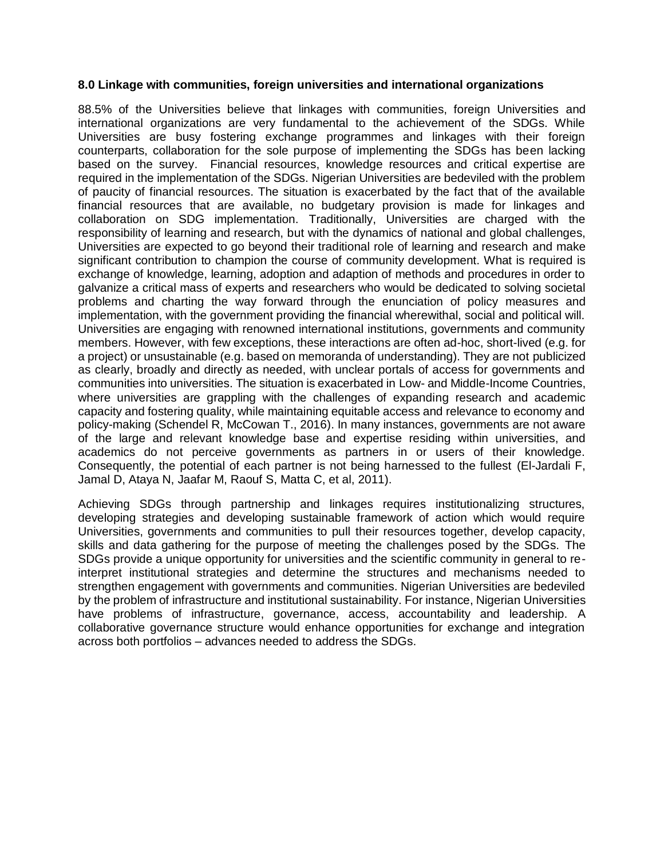#### **8.0 Linkage with communities, foreign universities and international organizations**

88.5% of the Universities believe that linkages with communities, foreign Universities and international organizations are very fundamental to the achievement of the SDGs. While Universities are busy fostering exchange programmes and linkages with their foreign counterparts, collaboration for the sole purpose of implementing the SDGs has been lacking based on the survey. Financial resources, knowledge resources and critical expertise are required in the implementation of the SDGs. Nigerian Universities are bedeviled with the problem of paucity of financial resources. The situation is exacerbated by the fact that of the available financial resources that are available, no budgetary provision is made for linkages and collaboration on SDG implementation. Traditionally, Universities are charged with the responsibility of learning and research, but with the dynamics of national and global challenges, Universities are expected to go beyond their traditional role of learning and research and make significant contribution to champion the course of community development. What is required is exchange of knowledge, learning, adoption and adaption of methods and procedures in order to galvanize a critical mass of experts and researchers who would be dedicated to solving societal problems and charting the way forward through the enunciation of policy measures and implementation, with the government providing the financial wherewithal, social and political will. Universities are engaging with renowned international institutions, governments and community members. However, with few exceptions, these interactions are often ad-hoc, short-lived (e.g. for a project) or unsustainable (e.g. based on memoranda of understanding). They are not publicized as clearly, broadly and directly as needed, with unclear portals of access for governments and communities into universities. The situation is exacerbated in Low- and Middle-Income Countries, where universities are grappling with the challenges of expanding research and academic capacity and fostering quality, while maintaining equitable access and relevance to economy and policy-making (Schendel R, McCowan T., 2016). In many instances, governments are not aware of the large and relevant knowledge base and expertise residing within universities, and academics do not perceive governments as partners in or users of their knowledge. Consequently, the potential of each partner is not being harnessed to the fullest (El-Jardali F, Jamal D, Ataya N, Jaafar M, Raouf S, Matta C, et al, 2011).

Achieving SDGs through partnership and linkages requires institutionalizing structures, developing strategies and developing sustainable framework of action which would require Universities, governments and communities to pull their resources together, develop capacity, skills and data gathering for the purpose of meeting the challenges posed by the SDGs. The SDGs provide a unique opportunity for universities and the scientific community in general to reinterpret institutional strategies and determine the structures and mechanisms needed to strengthen engagement with governments and communities. Nigerian Universities are bedeviled by the problem of infrastructure and institutional sustainability. For instance, Nigerian Universities have problems of infrastructure, governance, access, accountability and leadership. A collaborative governance structure would enhance opportunities for exchange and integration across both portfolios – advances needed to address the SDGs.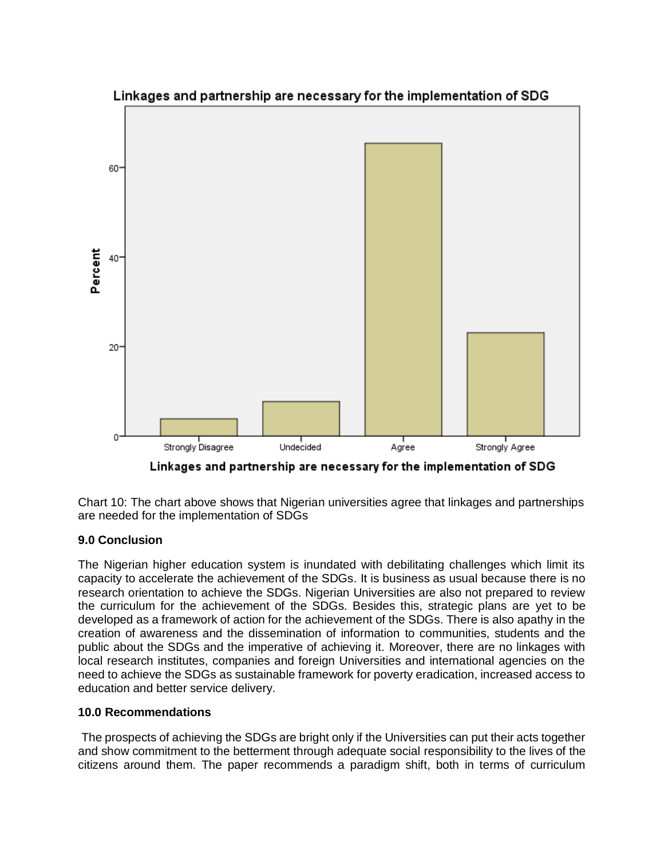

Linkages and partnership are necessary for the implementation of SDG

Chart 10: The chart above shows that Nigerian universities agree that linkages and partnerships are needed for the implementation of SDGs

## **9.0 Conclusion**

The Nigerian higher education system is inundated with debilitating challenges which limit its capacity to accelerate the achievement of the SDGs. It is business as usual because there is no research orientation to achieve the SDGs. Nigerian Universities are also not prepared to review the curriculum for the achievement of the SDGs. Besides this, strategic plans are yet to be developed as a framework of action for the achievement of the SDGs. There is also apathy in the creation of awareness and the dissemination of information to communities, students and the public about the SDGs and the imperative of achieving it. Moreover, there are no linkages with local research institutes, companies and foreign Universities and international agencies on the need to achieve the SDGs as sustainable framework for poverty eradication, increased access to education and better service delivery.

#### **10.0 Recommendations**

The prospects of achieving the SDGs are bright only if the Universities can put their acts together and show commitment to the betterment through adequate social responsibility to the lives of the citizens around them. The paper recommends a paradigm shift, both in terms of curriculum